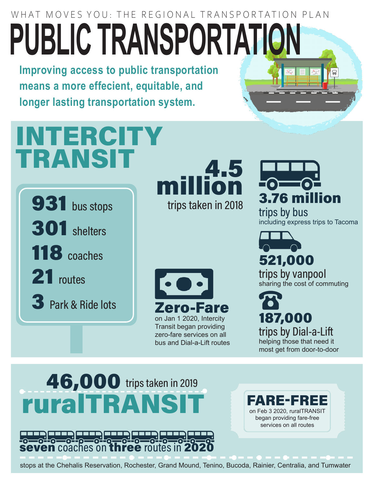## WHAT MOVES YOU: THE REGIONAL TRANSPORTATION PLAN **PUBLIC TRANSPORTATION**

**Improving access to public transportation means a more effecient, equitable, and longer lasting transportation system.**

# **INTERCITY** TRANSIT<br>
million



trips taken in 2018



3.76 million

trips by bus including express trips to Tacoma



trips by Dial-a-Lift helping those that need it most get from door-to-door

### 46,000 trips taken in 2019 ruralTRANSI



FARE-FREE on Feb 3 2020, ruralTRANSIT began providing fare-free services on all routes

stops at the Chehalis Reservation, Rochester, Grand Mound, Tenino, Bucoda, Rainier, Centralia, and Tumwater